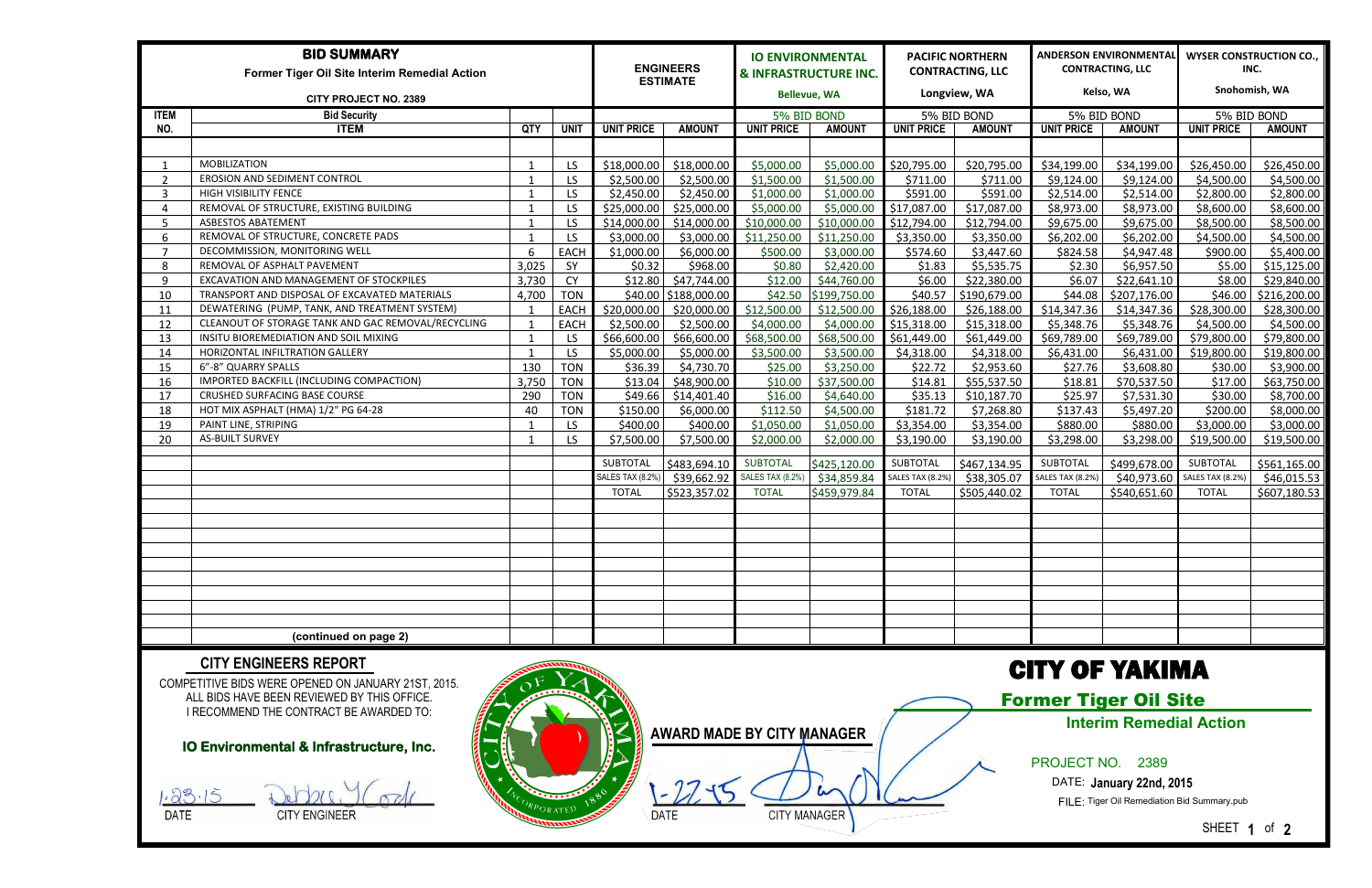| <b>BID SUMMARY</b><br>Former Tiger Oil Site Interim Remedial Action |                                                    |       |             | <b>ENGINEERS</b><br><b>ESTIMATE</b> |               | <b>IO ENVIRONMENTAL</b><br><b>&amp; INFRASTRUCTURE INC.</b> |                     | <b>PACIFIC NORTHERN</b><br><b>CONTRACTING, LLC</b> |               | ANDERSON ENVIRONMENTAL<br><b>CONTRACTING, LLC</b> |               | <b>WYSER CONSTRUCTION CO.,</b><br>INC. |               |  |
|---------------------------------------------------------------------|----------------------------------------------------|-------|-------------|-------------------------------------|---------------|-------------------------------------------------------------|---------------------|----------------------------------------------------|---------------|---------------------------------------------------|---------------|----------------------------------------|---------------|--|
| <b>CITY PROJECT NO. 2389</b>                                        |                                                    |       |             |                                     |               |                                                             | <b>Bellevue, WA</b> |                                                    | Longview, WA  |                                                   | Kelso, WA     |                                        | Snohomish, WA |  |
| <b>ITEM</b>                                                         | <b>Bid Security</b>                                |       |             |                                     |               | 5% BID BOND                                                 |                     | 5% BID BOND                                        |               | 5% BID BOND                                       |               | 5% BID BOND                            |               |  |
| NO.                                                                 | <b>ITEM</b>                                        | QTY   | <b>UNIT</b> | <b>UNIT PRICE</b>                   | <b>AMOUNT</b> | <b>UNIT PRICE</b>                                           | <b>AMOUNT</b>       | <b>UNIT PRICE</b>                                  | <b>AMOUNT</b> | <b>UNIT PRICE</b>                                 | <b>AMOUNT</b> | <b>UNIT PRICE</b>                      | <b>AMOUNT</b> |  |
|                                                                     |                                                    |       |             |                                     |               |                                                             |                     |                                                    |               |                                                   |               |                                        |               |  |
|                                                                     | <b>MOBILIZATION</b>                                | - 1   | LS.         | \$18,000.00                         | \$18,000.00   | \$5,000.00                                                  | \$5,000.00          | \$20,795.00                                        | \$20,795.00   | \$34,199.00                                       | \$34,199.00   | \$26,450.00                            | \$26,450.00   |  |
| ົາ                                                                  | <b>EROSION AND SEDIMENT CONTROL</b>                |       | LS.         | \$2,500.00                          | \$2,500.00    | \$1,500.00                                                  | \$1,500.00          | \$711.00                                           | \$711.00      | \$9,124.00                                        | \$9,124.00    | \$4,500.00                             | \$4,500.00    |  |
| 3                                                                   | <b>HIGH VISIBILITY FENCE</b>                       | - 1   | LS.         | \$2,450.00                          | \$2,450.00    | \$1,000.00                                                  | \$1,000.00          | \$591.00                                           | \$591.00      | \$2,514.00                                        | \$2,514.00    | \$2,800.00                             | \$2,800.00    |  |
| Δ                                                                   | REMOVAL OF STRUCTURE, EXISTING BUILDING            | - 1   | LS.         | \$25,000.00                         | \$25,000.00   | \$5,000.00                                                  | \$5,000.00          | \$17,087.00                                        | \$17,087.00   | \$8,973.00                                        | \$8,973.00    | \$8,600.00                             | \$8,600.00    |  |
| -5                                                                  | <b>ASBESTOS ABATEMENT</b>                          | -1    | LS.         | \$14,000.00                         | \$14,000.00   | \$10,000.00                                                 | \$10,000.00         | \$12,794.00                                        | \$12,794.00   | \$9,675.00                                        | \$9,675.00    | \$8,500.00                             | \$8,500.00    |  |
| -6                                                                  | REMOVAL OF STRUCTURE, CONCRETE PADS                |       | LS.         | \$3,000.00                          | \$3,000.00    | \$11,250.00                                                 | \$11,250.00         | \$3,350.00                                         | \$3,350.00    | \$6,202.00                                        | \$6,202.00    | \$4,500.00                             | \$4,500.00    |  |
| - 7                                                                 | DECOMMISSION, MONITORING WELL                      | -6    | EACH        | \$1,000.00                          | \$6,000.00    | \$500.00                                                    | \$3,000.00          | \$574.60                                           | \$3,447.60    | \$824.58                                          | \$4,947.48    | \$900.00                               | \$5,400.00    |  |
| 8                                                                   | REMOVAL OF ASPHALT PAVEMENT                        | 3,025 | SY          | \$0.32                              | \$968.00      | \$0.80                                                      | \$2,420.00          | \$1.83                                             | \$5,535.75    | \$2.30                                            | \$6,957.50    | \$5.00                                 | \$15,125.00   |  |
| q                                                                   | EXCAVATION AND MANAGEMENT OF STOCKPILES            | 3,730 | <b>CY</b>   | \$12.80                             | \$47,744.00   | \$12.00                                                     | \$44,760.00         | \$6.00                                             | \$22,380.00   | \$6.07                                            | \$22,641.10   | \$8.00                                 | \$29,840.00   |  |
| 10                                                                  | TRANSPORT AND DISPOSAL OF EXCAVATED MATERIALS      | 4,700 | <b>TON</b>  | \$40.00                             | \$188,000.00  | \$42.50                                                     | \$199,750.00        | \$40.57                                            | \$190,679.00  | \$44.08                                           | \$207,176.00  | \$46.00                                | \$216,200.00  |  |
| 11                                                                  | DEWATERING (PUMP, TANK, AND TREATMENT SYSTEM)      |       | <b>EACH</b> | \$20,000.00                         | \$20,000.00   | \$12,500.00                                                 | \$12,500.00         | \$26,188.00                                        | \$26,188.00   | \$14,347.36                                       | \$14,347.36   | \$28,300.00                            | \$28,300.00   |  |
| 12                                                                  | CLEANOUT OF STORAGE TANK AND GAC REMOVAL/RECYCLING |       | EACH        | \$2,500.00                          | \$2,500.00    | \$4,000.00                                                  | \$4,000.00          | \$15,318.00                                        | \$15,318.00   | \$5,348.76                                        | \$5,348.76    | \$4,500.00                             | \$4,500.00    |  |
| 13                                                                  | INSITU BIOREMEDIATION AND SOIL MIXING              | - 1   | LS          | \$66,600.00                         | \$66,600.00   | \$68,500.00                                                 | \$68,500.00         | \$61,449.00                                        | \$61,449.00   | \$69,789.00                                       | \$69,789.00   | \$79,800.00                            | \$79,800.00   |  |
| 14                                                                  | HORIZONTAL INFILTRATION GALLERY                    |       | LS.         | \$5,000.00                          | \$5,000.00    | \$3,500.00                                                  | \$3,500.00          | \$4,318.00                                         | \$4,318.00    | \$6,431.00                                        | \$6,431.00    | \$19,800.00                            | \$19,800.00   |  |
| 15                                                                  | 6"-8" QUARRY SPALLS                                | 130   | <b>TON</b>  | \$36.39                             | \$4,730.70    | \$25.00                                                     | \$3,250.00          | \$22.72                                            | \$2,953.60    | \$27.76                                           | \$3,608.80    | \$30.00                                | \$3,900.00    |  |
| 16                                                                  | IMPORTED BACKFILL (INCLUDING COMPACTION)           | 3,750 | <b>TON</b>  | \$13.04                             | \$48,900.00   | \$10.00                                                     | \$37,500.00         | \$14.81                                            | \$55,537.50   | \$18.81                                           | \$70,537.50   | \$17.00                                | \$63,750.00   |  |
| 17                                                                  | CRUSHED SURFACING BASE COURSE                      | 290   | <b>TON</b>  | \$49.66                             | \$14,401.40   | \$16.00                                                     | \$4,640.00          | \$35.13                                            | \$10,187.70   | \$25.97                                           | \$7,531.30    | \$30.00                                | \$8,700.00    |  |
| 18                                                                  | HOT MIX ASPHALT (HMA) 1/2" PG 64-28                | 40    | <b>TON</b>  | \$150.00                            | \$6,000.00    | \$112.50                                                    | \$4,500.00          | \$181.72                                           | \$7,268.80    | \$137.43                                          | \$5,497.20    | \$200.00                               | \$8,000.00    |  |
| 19                                                                  | PAINT LINE, STRIPING                               |       | LS          | \$400.00                            | \$400.00      | \$1,050.00                                                  | \$1,050.00          | \$3,354.00                                         | \$3,354.00    | \$880.00                                          | \$880.00      | \$3,000.00                             | \$3,000.00    |  |
| 20                                                                  | <b>AS-BUILT SURVEY</b>                             |       | LS.         | \$7,500.00                          | \$7,500.00    | \$2,000.00                                                  | \$2,000.00          | \$3,190.00                                         | \$3,190.00    | \$3,298.00                                        | \$3,298.00    | \$19,500.00                            | \$19,500.00   |  |
|                                                                     |                                                    |       |             | SUBTOTAL                            | \$483,694.10  | <b>SUBTOTAL</b>                                             | \$425,120.00        | SUBTOTAL                                           | \$467,134.95  | <b>SUBTOTAL</b>                                   | \$499,678.00  | SUBTOTAL                               | \$561,165.00  |  |
|                                                                     |                                                    |       |             | <b>SALES TAX (8.2%)</b>             | \$39,662.92   | <b>SALES TAX (8.2%)</b>                                     | \$34,859.84         | <b>SALES TAX (8.2%)</b>                            | \$38,305.07   | <b>SALES TAX (8.2%)</b>                           |               | \$40,973.60 SALES TAX (8.2%)           | \$46,015.53   |  |
|                                                                     |                                                    |       |             | <b>TOTAL</b>                        | \$523,357.02  | <b>TOTAL</b>                                                | \$459,979.84        | <b>TOTAL</b>                                       | \$505,440.02  | <b>TOTAL</b>                                      | \$540,651.60  | <b>TOTAL</b>                           | \$607,180.53  |  |
|                                                                     |                                                    |       |             |                                     |               |                                                             |                     |                                                    |               |                                                   |               |                                        |               |  |
|                                                                     |                                                    |       |             |                                     |               |                                                             |                     |                                                    |               |                                                   |               |                                        |               |  |
|                                                                     |                                                    |       |             |                                     |               |                                                             |                     |                                                    |               |                                                   |               |                                        |               |  |
|                                                                     |                                                    |       |             |                                     |               |                                                             |                     |                                                    |               |                                                   |               |                                        |               |  |
|                                                                     |                                                    |       |             |                                     |               |                                                             |                     |                                                    |               |                                                   |               |                                        |               |  |
|                                                                     |                                                    |       |             |                                     |               |                                                             |                     |                                                    |               |                                                   |               |                                        |               |  |
|                                                                     |                                                    |       |             |                                     |               |                                                             |                     |                                                    |               |                                                   |               |                                        |               |  |
|                                                                     |                                                    |       |             |                                     |               |                                                             |                     |                                                    |               |                                                   |               |                                        |               |  |
|                                                                     |                                                    |       |             |                                     |               |                                                             |                     |                                                    |               |                                                   |               |                                        |               |  |
|                                                                     | (continued on page 2)                              |       |             |                                     |               |                                                             |                     |                                                    |               |                                                   |               |                                        |               |  |
|                                                                     |                                                    |       |             |                                     |               |                                                             |                     |                                                    |               |                                                   |               |                                        |               |  |

COMPETITIVE BIDS WERE OPENED ON JANUARY 21ST, 2015. ALL BIDS HAVE BEEN REVIEWED BY THIS OFFICE. I RECOMMEND THE CONTRACT BE AWARDED TO:

### **CITY ENGINEERS REPORT**



# CITY OF YAKIMA

## Former Tiger Oil Site

### PROJECT NO. 2389

#### DATE: **January 22nd, 2015**

FILE: Tiger Oil Remediation Bid Summary.pub

SHEET **1** of **2**

**IO Environmental & Infrastructure, Inc.** 

 $1.23.15$ 

DATE CITY ENGINEER

**Interim Remedial Action**